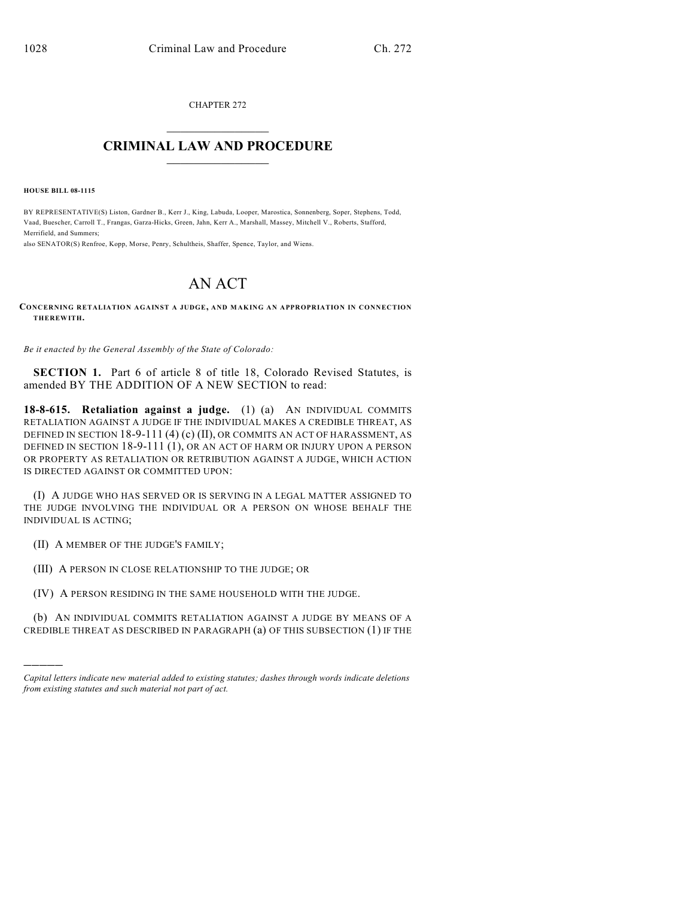CHAPTER 272  $\overline{\phantom{a}}$  . The set of the set of the set of the set of the set of the set of the set of the set of the set of the set of the set of the set of the set of the set of the set of the set of the set of the set of the set o

## **CRIMINAL LAW AND PROCEDURE**  $\frac{1}{2}$  ,  $\frac{1}{2}$  ,  $\frac{1}{2}$  ,  $\frac{1}{2}$  ,  $\frac{1}{2}$  ,  $\frac{1}{2}$  ,  $\frac{1}{2}$

**HOUSE BILL 08-1115**

BY REPRESENTATIVE(S) Liston, Gardner B., Kerr J., King, Labuda, Looper, Marostica, Sonnenberg, Soper, Stephens, Todd, Vaad, Buescher, Carroll T., Frangas, Garza-Hicks, Green, Jahn, Kerr A., Marshall, Massey, Mitchell V., Roberts, Stafford, Merrifield, and Summers;

also SENATOR(S) Renfroe, Kopp, Morse, Penry, Schultheis, Shaffer, Spence, Taylor, and Wiens.

## AN ACT

**CONCERNING RETALIATION AGAINST A JUDGE, AND MAKING AN APPROPRIATION IN CONNECTION THEREWITH.**

*Be it enacted by the General Assembly of the State of Colorado:*

**SECTION 1.** Part 6 of article 8 of title 18, Colorado Revised Statutes, is amended BY THE ADDITION OF A NEW SECTION to read:

**18-8-615. Retaliation against a judge.** (1) (a) AN INDIVIDUAL COMMITS RETALIATION AGAINST A JUDGE IF THE INDIVIDUAL MAKES A CREDIBLE THREAT, AS DEFINED IN SECTION  $18-9-111(4)$  (c) (II), OR COMMITS AN ACT OF HARASSMENT, AS DEFINED IN SECTION 18-9-111 (1), OR AN ACT OF HARM OR INJURY UPON A PERSON OR PROPERTY AS RETALIATION OR RETRIBUTION AGAINST A JUDGE, WHICH ACTION IS DIRECTED AGAINST OR COMMITTED UPON:

(I) A JUDGE WHO HAS SERVED OR IS SERVING IN A LEGAL MATTER ASSIGNED TO THE JUDGE INVOLVING THE INDIVIDUAL OR A PERSON ON WHOSE BEHALF THE INDIVIDUAL IS ACTING;

(II) A MEMBER OF THE JUDGE'S FAMILY;

)))))

(III) A PERSON IN CLOSE RELATIONSHIP TO THE JUDGE; OR

(IV) A PERSON RESIDING IN THE SAME HOUSEHOLD WITH THE JUDGE.

(b) AN INDIVIDUAL COMMITS RETALIATION AGAINST A JUDGE BY MEANS OF A CREDIBLE THREAT AS DESCRIBED IN PARAGRAPH (a) OF THIS SUBSECTION (1) IF THE

*Capital letters indicate new material added to existing statutes; dashes through words indicate deletions from existing statutes and such material not part of act.*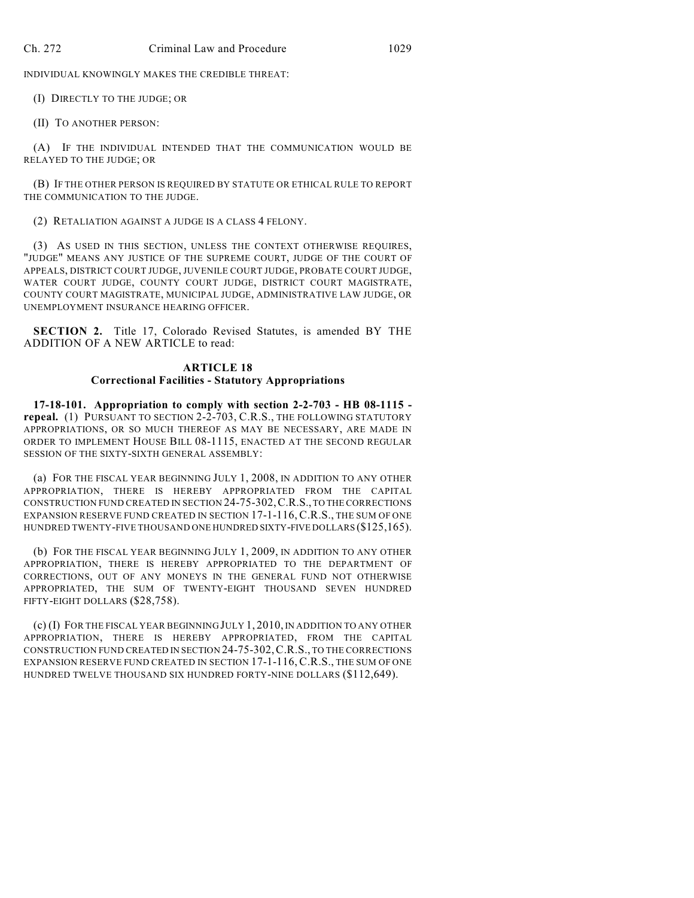INDIVIDUAL KNOWINGLY MAKES THE CREDIBLE THREAT:

(I) DIRECTLY TO THE JUDGE; OR

(II) TO ANOTHER PERSON:

(A) IF THE INDIVIDUAL INTENDED THAT THE COMMUNICATION WOULD BE RELAYED TO THE JUDGE; OR

(B) IF THE OTHER PERSON IS REQUIRED BY STATUTE OR ETHICAL RULE TO REPORT THE COMMUNICATION TO THE JUDGE.

(2) RETALIATION AGAINST A JUDGE IS A CLASS 4 FELONY.

(3) AS USED IN THIS SECTION, UNLESS THE CONTEXT OTHERWISE REQUIRES, "JUDGE" MEANS ANY JUSTICE OF THE SUPREME COURT, JUDGE OF THE COURT OF APPEALS, DISTRICT COURT JUDGE, JUVENILE COURT JUDGE, PROBATE COURT JUDGE, WATER COURT JUDGE, COUNTY COURT JUDGE, DISTRICT COURT MAGISTRATE, COUNTY COURT MAGISTRATE, MUNICIPAL JUDGE, ADMINISTRATIVE LAW JUDGE, OR UNEMPLOYMENT INSURANCE HEARING OFFICER.

**SECTION 2.** Title 17, Colorado Revised Statutes, is amended BY THE ADDITION OF A NEW ARTICLE to read:

## **ARTICLE 18 Correctional Facilities - Statutory Appropriations**

**17-18-101. Appropriation to comply with section 2-2-703 - HB 08-1115 repeal.** (1) PURSUANT TO SECTION 2-2-703, C.R.S., THE FOLLOWING STATUTORY APPROPRIATIONS, OR SO MUCH THEREOF AS MAY BE NECESSARY, ARE MADE IN ORDER TO IMPLEMENT HOUSE BILL 08-1115, ENACTED AT THE SECOND REGULAR SESSION OF THE SIXTY-SIXTH GENERAL ASSEMBLY:

(a) FOR THE FISCAL YEAR BEGINNING JULY 1, 2008, IN ADDITION TO ANY OTHER APPROPRIATION, THERE IS HEREBY APPROPRIATED FROM THE CAPITAL CONSTRUCTION FUND CREATED IN SECTION 24-75-302,C.R.S., TO THE CORRECTIONS EXPANSION RESERVE FUND CREATED IN SECTION 17-1-116, C.R.S., THE SUM OF ONE HUNDRED TWENTY-FIVE THOUSAND ONE HUNDRED SIXTY-FIVE DOLLARS (\$125,165).

(b) FOR THE FISCAL YEAR BEGINNING JULY 1, 2009, IN ADDITION TO ANY OTHER APPROPRIATION, THERE IS HEREBY APPROPRIATED TO THE DEPARTMENT OF CORRECTIONS, OUT OF ANY MONEYS IN THE GENERAL FUND NOT OTHERWISE APPROPRIATED, THE SUM OF TWENTY-EIGHT THOUSAND SEVEN HUNDRED FIFTY-EIGHT DOLLARS (\$28,758).

(c) (I) FOR THE FISCAL YEAR BEGINNING JULY 1, 2010, IN ADDITION TO ANY OTHER APPROPRIATION, THERE IS HEREBY APPROPRIATED, FROM THE CAPITAL CONSTRUCTION FUND CREATED IN SECTION 24-75-302,C.R.S., TO THE CORRECTIONS EXPANSION RESERVE FUND CREATED IN SECTION 17-1-116, C.R.S., THE SUM OF ONE HUNDRED TWELVE THOUSAND SIX HUNDRED FORTY-NINE DOLLARS (\$112,649).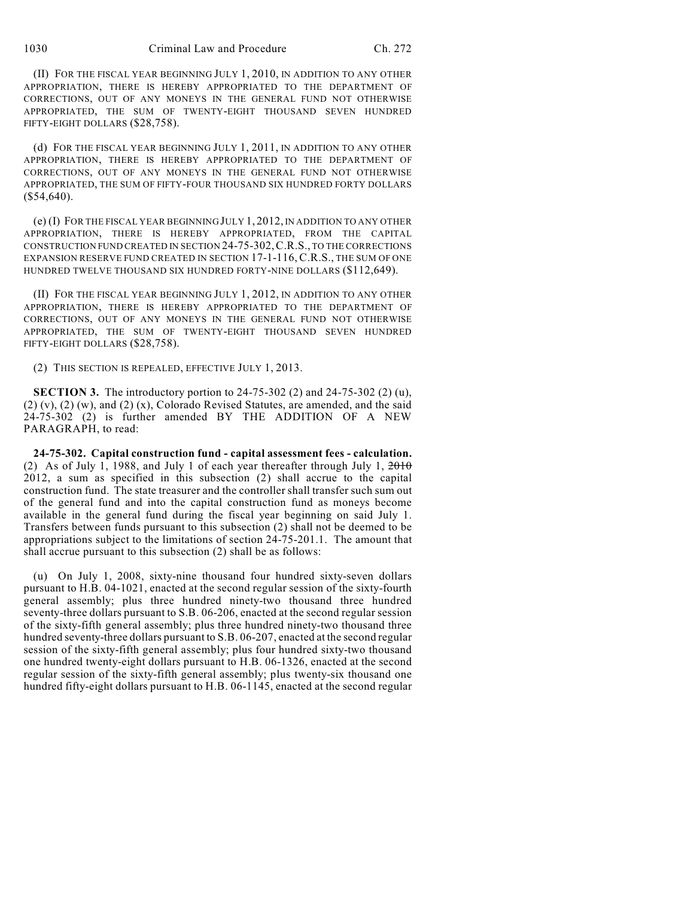(II) FOR THE FISCAL YEAR BEGINNING JULY 1, 2010, IN ADDITION TO ANY OTHER APPROPRIATION, THERE IS HEREBY APPROPRIATED TO THE DEPARTMENT OF CORRECTIONS, OUT OF ANY MONEYS IN THE GENERAL FUND NOT OTHERWISE APPROPRIATED, THE SUM OF TWENTY-EIGHT THOUSAND SEVEN HUNDRED FIFTY-EIGHT DOLLARS (\$28,758).

(d) FOR THE FISCAL YEAR BEGINNING JULY 1, 2011, IN ADDITION TO ANY OTHER APPROPRIATION, THERE IS HEREBY APPROPRIATED TO THE DEPARTMENT OF CORRECTIONS, OUT OF ANY MONEYS IN THE GENERAL FUND NOT OTHERWISE APPROPRIATED, THE SUM OF FIFTY-FOUR THOUSAND SIX HUNDRED FORTY DOLLARS (\$54,640).

(e) (I) FOR THE FISCAL YEAR BEGINNING JULY 1, 2012, IN ADDITION TO ANY OTHER APPROPRIATION, THERE IS HEREBY APPROPRIATED, FROM THE CAPITAL CONSTRUCTION FUND CREATED IN SECTION 24-75-302,C.R.S., TO THE CORRECTIONS EXPANSION RESERVE FUND CREATED IN SECTION 17-1-116, C.R.S., THE SUM OF ONE HUNDRED TWELVE THOUSAND SIX HUNDRED FORTY-NINE DOLLARS (\$112,649).

(II) FOR THE FISCAL YEAR BEGINNING JULY 1, 2012, IN ADDITION TO ANY OTHER APPROPRIATION, THERE IS HEREBY APPROPRIATED TO THE DEPARTMENT OF CORRECTIONS, OUT OF ANY MONEYS IN THE GENERAL FUND NOT OTHERWISE APPROPRIATED, THE SUM OF TWENTY-EIGHT THOUSAND SEVEN HUNDRED FIFTY-EIGHT DOLLARS (\$28,758).

(2) THIS SECTION IS REPEALED, EFFECTIVE JULY 1, 2013.

**SECTION 3.** The introductory portion to 24-75-302 (2) and 24-75-302 (2) (u), (2) (v), (2) (w), and (2) (x), Colorado Revised Statutes, are amended, and the said 24-75-302 (2) is further amended BY THE ADDITION OF A NEW PARAGRAPH, to read:

**24-75-302. Capital construction fund - capital assessment fees - calculation.** (2) As of July 1, 1988, and July 1 of each year thereafter through July 1,  $\frac{2010}{2010}$ 2012, a sum as specified in this subsection (2) shall accrue to the capital construction fund. The state treasurer and the controller shall transfer such sum out of the general fund and into the capital construction fund as moneys become available in the general fund during the fiscal year beginning on said July 1. Transfers between funds pursuant to this subsection (2) shall not be deemed to be appropriations subject to the limitations of section 24-75-201.1. The amount that shall accrue pursuant to this subsection (2) shall be as follows:

(u) On July 1, 2008, sixty-nine thousand four hundred sixty-seven dollars pursuant to H.B. 04-1021, enacted at the second regular session of the sixty-fourth general assembly; plus three hundred ninety-two thousand three hundred seventy-three dollars pursuant to S.B. 06-206, enacted at the second regular session of the sixty-fifth general assembly; plus three hundred ninety-two thousand three hundred seventy-three dollars pursuant to S.B. 06-207, enacted at the second regular session of the sixty-fifth general assembly; plus four hundred sixty-two thousand one hundred twenty-eight dollars pursuant to H.B. 06-1326, enacted at the second regular session of the sixty-fifth general assembly; plus twenty-six thousand one hundred fifty-eight dollars pursuant to H.B. 06-1145, enacted at the second regular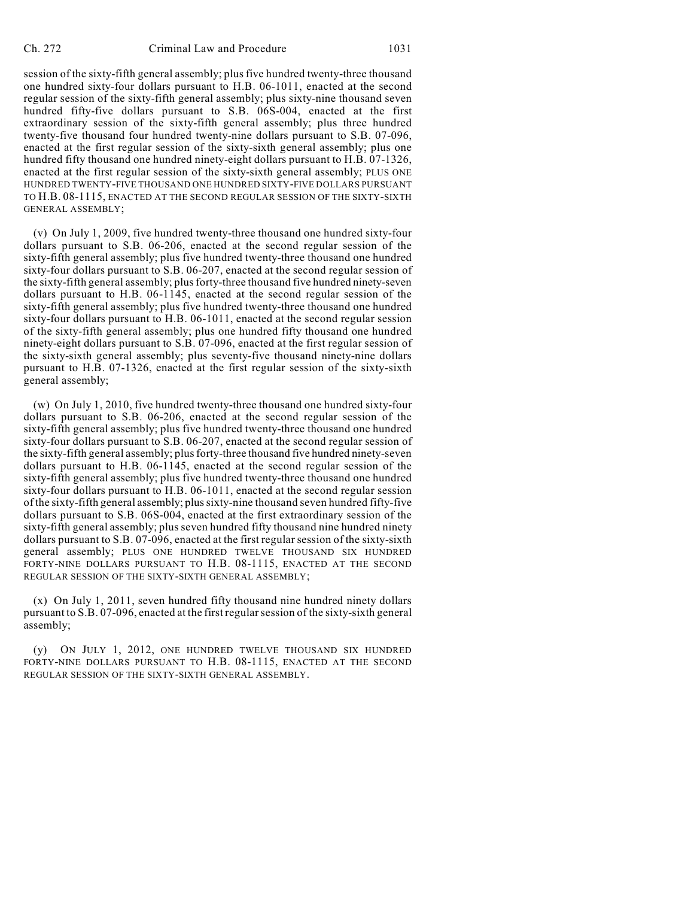session of the sixty-fifth general assembly; plus five hundred twenty-three thousand one hundred sixty-four dollars pursuant to H.B. 06-1011, enacted at the second regular session of the sixty-fifth general assembly; plus sixty-nine thousand seven hundred fifty-five dollars pursuant to S.B. 06S-004, enacted at the first extraordinary session of the sixty-fifth general assembly; plus three hundred twenty-five thousand four hundred twenty-nine dollars pursuant to S.B. 07-096, enacted at the first regular session of the sixty-sixth general assembly; plus one hundred fifty thousand one hundred ninety-eight dollars pursuant to H.B. 07-1326, enacted at the first regular session of the sixty-sixth general assembly; PLUS ONE HUNDRED TWENTY-FIVE THOUSAND ONE HUNDRED SIXTY-FIVE DOLLARS PURSUANT TO H.B. 08-1115, ENACTED AT THE SECOND REGULAR SESSION OF THE SIXTY-SIXTH GENERAL ASSEMBLY;

(v) On July 1, 2009, five hundred twenty-three thousand one hundred sixty-four dollars pursuant to S.B. 06-206, enacted at the second regular session of the sixty-fifth general assembly; plus five hundred twenty-three thousand one hundred sixty-four dollars pursuant to S.B. 06-207, enacted at the second regular session of the sixty-fifth general assembly; plus forty-three thousand five hundred ninety-seven dollars pursuant to H.B. 06-1145, enacted at the second regular session of the sixty-fifth general assembly; plus five hundred twenty-three thousand one hundred sixty-four dollars pursuant to H.B. 06-1011, enacted at the second regular session of the sixty-fifth general assembly; plus one hundred fifty thousand one hundred ninety-eight dollars pursuant to S.B. 07-096, enacted at the first regular session of the sixty-sixth general assembly; plus seventy-five thousand ninety-nine dollars pursuant to H.B. 07-1326, enacted at the first regular session of the sixty-sixth general assembly;

(w) On July 1, 2010, five hundred twenty-three thousand one hundred sixty-four dollars pursuant to S.B. 06-206, enacted at the second regular session of the sixty-fifth general assembly; plus five hundred twenty-three thousand one hundred sixty-four dollars pursuant to S.B. 06-207, enacted at the second regular session of the sixty-fifth general assembly; plus forty-three thousand five hundred ninety-seven dollars pursuant to H.B. 06-1145, enacted at the second regular session of the sixty-fifth general assembly; plus five hundred twenty-three thousand one hundred sixty-four dollars pursuant to H.B. 06-1011, enacted at the second regular session of the sixty-fifth general assembly; plus sixty-nine thousand seven hundred fifty-five dollars pursuant to S.B. 06S-004, enacted at the first extraordinary session of the sixty-fifth general assembly; plus seven hundred fifty thousand nine hundred ninety dollars pursuant to S.B. 07-096, enacted at the first regular session of the sixty-sixth general assembly; PLUS ONE HUNDRED TWELVE THOUSAND SIX HUNDRED FORTY-NINE DOLLARS PURSUANT TO H.B. 08-1115, ENACTED AT THE SECOND REGULAR SESSION OF THE SIXTY-SIXTH GENERAL ASSEMBLY;

(x) On July 1, 2011, seven hundred fifty thousand nine hundred ninety dollars pursuant to S.B. 07-096, enacted at the first regular session of the sixty-sixth general assembly;

(y) ON JULY 1, 2012, ONE HUNDRED TWELVE THOUSAND SIX HUNDRED FORTY-NINE DOLLARS PURSUANT TO H.B. 08-1115, ENACTED AT THE SECOND REGULAR SESSION OF THE SIXTY-SIXTH GENERAL ASSEMBLY.